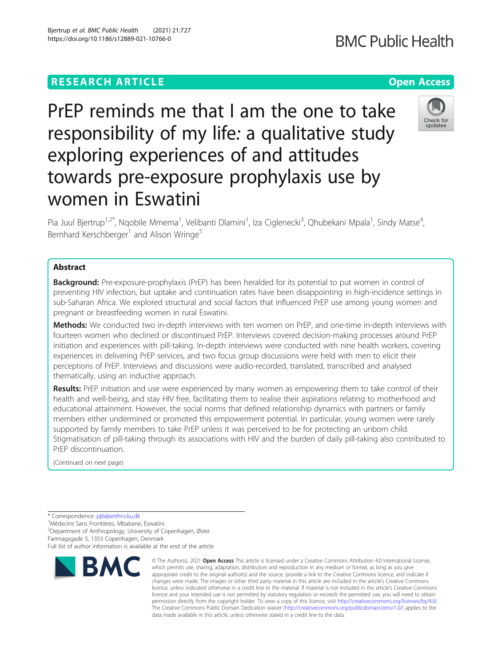# **RESEARCH ARTICLE Example 2014 12:30 The Contract of Contract ACCESS**

PrEP reminds me that I am the one to take responsibility of my life: a qualitative study exploring experiences of and attitudes towards pre-exposure prophylaxis use by women in Eswatini

Pia Juul Bjertrup<sup>1,2\*</sup>, Nqobile Mmema<sup>1</sup>, Velibanti Dlamini<sup>1</sup>, Iza Ciglenecki<sup>3</sup>, Qhubekani Mpala<sup>1</sup>, Sindy Matse<sup>4</sup> , Bernhard Kerschberger<sup>1</sup> and Alison Wringe<sup>5</sup>

# Abstract

**Background:** Pre-exposure-prophylaxis (PrEP) has been heralded for its potential to put women in control of preventing HIV infection, but uptake and continuation rates have been disappointing in high-incidence settings in sub-Saharan Africa. We explored structural and social factors that influenced PrEP use among young women and pregnant or breastfeeding women in rural Eswatini.

Methods: We conducted two in-depth interviews with ten women on PrEP, and one-time in-depth interviews with fourteen women who declined or discontinued PrEP. Interviews covered decision-making processes around PrEP initiation and experiences with pill-taking. In-depth interviews were conducted with nine health workers, covering experiences in delivering PrEP services, and two focus group discussions were held with men to elicit their perceptions of PrEP. Interviews and discussions were audio-recorded, translated, transcribed and analysed thematically, using an inductive approach.

Results: PrEP initiation and use were experienced by many women as empowering them to take control of their health and well-being, and stay HIV free, facilitating them to realise their aspirations relating to motherhood and educational attainment. However, the social norms that defined relationship dynamics with partners or family members either undermined or promoted this empowerment potential. In particular, young women were rarely supported by family members to take PrEP unless it was perceived to be for protecting an unborn child. Stigmatisation of pill-taking through its associations with HIV and the burden of daily pill-taking also contributed to PrEP discontinuation.

data made available in this article, unless otherwise stated in a credit line to the data.

© The Author(s), 2021 **Open Access** This article is licensed under a Creative Commons Attribution 4.0 International License, which permits use, sharing, adaptation, distribution and reproduction in any medium or format, as long as you give

(Continued on next page)

Médecins Sans Frontières, Mbabane, Eswatini

**RMC** 

# 2 Department of Anthropology, University of Copenhagen, Øster

Farimagsgade 5, 1353 Copenhagen, Denmark



<sup>\*</sup> Correspondence: [pjb@anthro.ku.dk](mailto:pjb@anthro.ku.dk) <sup>1</sup>

Full list of author information is available at the end of the article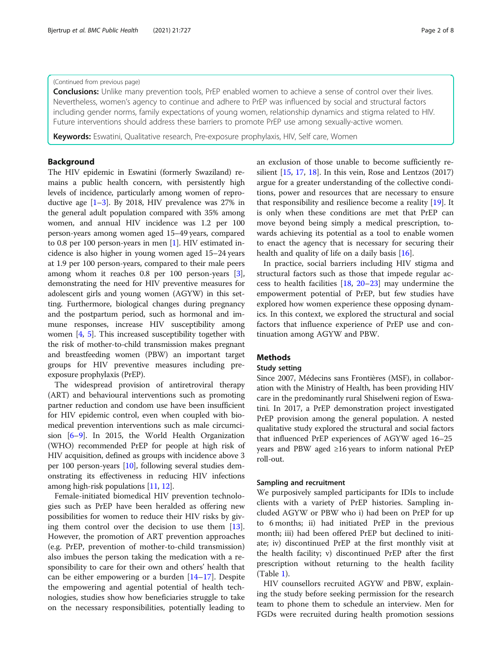# (Continued from previous page)

**Conclusions:** Unlike many prevention tools, PrEP enabled women to achieve a sense of control over their lives. Nevertheless, women's agency to continue and adhere to PrEP was influenced by social and structural factors including gender norms, family expectations of young women, relationship dynamics and stigma related to HIV. Future interventions should address these barriers to promote PrEP use among sexually-active women.

Keywords: Eswatini, Qualitative research, Pre-exposure prophylaxis, HIV, Self care, Women

# Background

The HIV epidemic in Eswatini (formerly Swaziland) remains a public health concern, with persistently high levels of incidence, particularly among women of reproductive age  $[1-3]$  $[1-3]$  $[1-3]$ . By 2018, HIV prevalence was 27% in the general adult population compared with 35% among women, and annual HIV incidence was 1.2 per 100 person-years among women aged 15–49 years, compared to 0.8 per 100 person-years in men [\[1](#page-6-0)]. HIV estimated incidence is also higher in young women aged 15–24 years at 1.9 per 100 person-years, compared to their male peers among whom it reaches 0.8 per 100 person-years [[3](#page-6-0)], demonstrating the need for HIV preventive measures for adolescent girls and young women (AGYW) in this setting. Furthermore, biological changes during pregnancy and the postpartum period, such as hormonal and immune responses, increase HIV susceptibility among women [\[4,](#page-6-0) [5\]](#page-6-0). This increased susceptibility together with the risk of mother-to-child transmission makes pregnant and breastfeeding women (PBW) an important target groups for HIV preventive measures including preexposure prophylaxis (PrEP).

The widespread provision of antiretroviral therapy (ART) and behavioural interventions such as promoting partner reduction and condom use have been insufficient for HIV epidemic control, even when coupled with biomedical prevention interventions such as male circumcision [[6](#page-6-0)–[9](#page-6-0)]. In 2015, the World Health Organization (WHO) recommended PrEP for people at high risk of HIV acquisition, defined as groups with incidence above 3 per 100 person-years [[10](#page-6-0)], following several studies demonstrating its effectiveness in reducing HIV infections among high-risk populations [[11](#page-6-0), [12](#page-6-0)].

Female-initiated biomedical HIV prevention technologies such as PrEP have been heralded as offering new possibilities for women to reduce their HIV risks by giving them control over the decision to use them [\[13](#page-6-0)]. However, the promotion of ART prevention approaches (e.g. PrEP, prevention of mother-to-child transmission) also imbues the person taking the medication with a responsibility to care for their own and others' health that can be either empowering or a burden [\[14](#page-6-0)–[17\]](#page-6-0). Despite the empowering and agential potential of health technologies, studies show how beneficiaries struggle to take on the necessary responsibilities, potentially leading to an exclusion of those unable to become sufficiently resilient  $[15, 17, 18]$  $[15, 17, 18]$  $[15, 17, 18]$  $[15, 17, 18]$  $[15, 17, 18]$  $[15, 17, 18]$ . In this vein, Rose and Lentzos  $(2017)$ argue for a greater understanding of the collective conditions, power and resources that are necessary to ensure that responsibility and resilience become a reality [[19\]](#page-6-0). It is only when these conditions are met that PrEP can move beyond being simply a medical prescription, towards achieving its potential as a tool to enable women to enact the agency that is necessary for securing their health and quality of life on a daily basis [\[16](#page-6-0)].

In practice, social barriers including HIV stigma and structural factors such as those that impede regular access to health facilities [\[18,](#page-6-0) [20](#page-6-0)–[23\]](#page-6-0) may undermine the empowerment potential of PrEP, but few studies have explored how women experience these opposing dynamics. In this context, we explored the structural and social factors that influence experience of PrEP use and continuation among AGYW and PBW.

# **Methods**

# Study setting

Since 2007, Médecins sans Frontières (MSF), in collaboration with the Ministry of Health, has been providing HIV care in the predominantly rural Shiselweni region of Eswatini. In 2017, a PrEP demonstration project investigated PrEP provision among the general population. A nested qualitative study explored the structural and social factors that influenced PrEP experiences of AGYW aged 16–25 years and PBW aged ≥16 years to inform national PrEP roll-out.

# Sampling and recruitment

We purposively sampled participants for IDIs to include clients with a variety of PrEP histories. Sampling included AGYW or PBW who i) had been on PrEP for up to 6 months; ii) had initiated PrEP in the previous month; iii) had been offered PrEP but declined to initiate; iv) discontinued PrEP at the first monthly visit at the health facility; v) discontinued PrEP after the first prescription without returning to the health facility (Table [1\)](#page-2-0).

HIV counsellors recruited AGYW and PBW, explaining the study before seeking permission for the research team to phone them to schedule an interview. Men for FGDs were recruited during health promotion sessions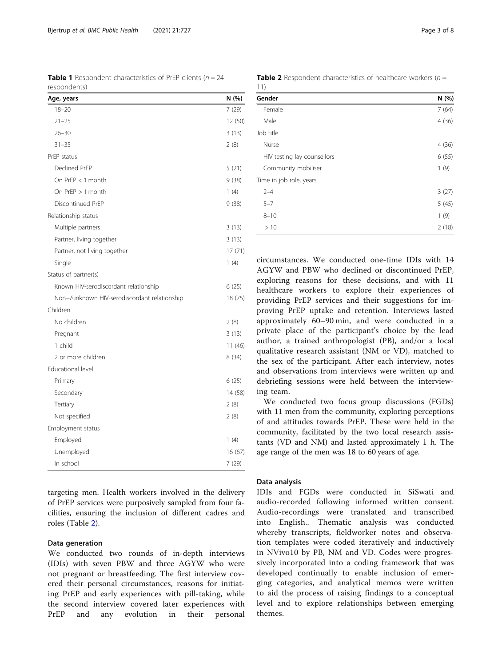targeting men. Health workers involved in the delivery of PrEP services were purposively sampled from four facilities, ensuring the inclusion of different cadres and roles (Table 2).

### Data generation

We conducted two rounds of in-depth interviews (IDIs) with seven PBW and three AGYW who were not pregnant or breastfeeding. The first interview covered their personal circumstances, reasons for initiating PrEP and early experiences with pill-taking, while the second interview covered later experiences with PrEP and any evolution in their personal circumstances. We conducted one-time IDIs with 14 AGYW and PBW who declined or discontinued PrEP, exploring reasons for these decisions, and with 11 healthcare workers to explore their experiences of providing PrEP services and their suggestions for improving PrEP uptake and retention. Interviews lasted approximately 60–90 min, and were conducted in a private place of the participant's choice by the lead author, a trained anthropologist (PB), and/or a local qualitative research assistant (NM or VD), matched to the sex of the participant. After each interview, notes and observations from interviews were written up and debriefing sessions were held between the interview-

ing team. We conducted two focus group discussions (FGDs) with 11 men from the community, exploring perceptions of and attitudes towards PrEP. These were held in the community, facilitated by the two local research assistants (VD and NM) and lasted approximately 1 h. The

age range of the men was 18 to 60 years of age.

# Data analysis

IDIs and FGDs were conducted in SiSwati and audio-recorded following informed written consent. Audio-recordings were translated and transcribed into English.. Thematic analysis was conducted whereby transcripts, fieldworker notes and observation templates were coded iteratively and inductively in NVivo10 by PB, NM and VD. Codes were progressively incorporated into a coding framework that was developed continually to enable inclusion of emerging categories, and analytical memos were written to aid the process of raising findings to a conceptual level and to explore relationships between emerging themes.

<span id="page-2-0"></span>

|              | <b>Table 1</b> Respondent characteristics of PrEP clients ( $n = 24$ |  |
|--------------|----------------------------------------------------------------------|--|
| respondents) |                                                                      |  |

| Age, years                                   | N (%)   |
|----------------------------------------------|---------|
| $18 - 20$                                    | 7(29)   |
| $21 - 25$                                    | 12 (50) |
| $26 - 30$                                    | 3(13)   |
| $31 - 35$                                    | 2(8)    |
| PrEP status                                  |         |
| Declined PrEP                                | 5(21)   |
| On PrEP $<$ 1 month                          | 9 (38)  |
| On $PrEP > 1$ month                          | 1(4)    |
| Discontinued PrEP                            | 9(38)   |
| Relationship status                          |         |
| Multiple partners                            | 3(13)   |
| Partner, living together                     | 3(13)   |
| Partner, not living together                 | 17(71)  |
| Single                                       | 1(4)    |
| Status of partner(s)                         |         |
| Known HIV-serodiscordant relationship        | 6(25)   |
| Non-/unknown HIV-serodiscordant relationship | 18 (75) |
| Children                                     |         |
| No children                                  | 2(8)    |
| Pregnant                                     | 3(13)   |
| 1 child                                      | 11(46)  |
| 2 or more children                           | 8(34)   |
| Educational level                            |         |
| Primary                                      | 6(25)   |
| Secondary                                    | 14 (58) |
| Tertiary                                     | 2(8)    |
| Not specified                                | 2(8)    |
| Employment status                            |         |
| Employed                                     | 1(4)    |
| Unemployed                                   | 16(67)  |
| In school                                    | 7 (29)  |

| Gender                      | N(%)  |
|-----------------------------|-------|
| Female                      | 7(64) |
| Male                        | 4(36) |
| Job title                   |       |
| Nurse                       | 4(36) |
| HIV testing lay counsellors | 6(55) |
| Community mobiliser         | 1(9)  |
| Time in job role, years     |       |
| $2 - 4$                     | 3(27) |
| $5 - 7$                     | 5(45) |
| $8 - 10$                    | 1(9)  |
| >10                         | 2(18) |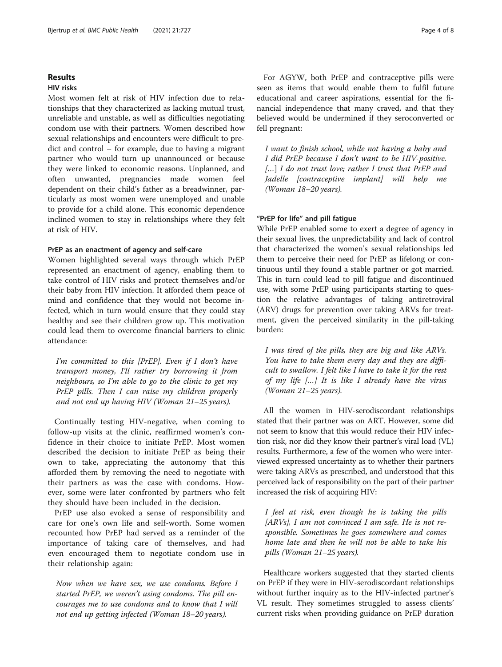# Results

# HIV risks

Most women felt at risk of HIV infection due to relationships that they characterized as lacking mutual trust, unreliable and unstable, as well as difficulties negotiating condom use with their partners. Women described how sexual relationships and encounters were difficult to predict and control – for example, due to having a migrant partner who would turn up unannounced or because they were linked to economic reasons. Unplanned, and often unwanted, pregnancies made women feel dependent on their child's father as a breadwinner, particularly as most women were unemployed and unable to provide for a child alone. This economic dependence inclined women to stay in relationships where they felt at risk of HIV.

#### PrEP as an enactment of agency and self-care

Women highlighted several ways through which PrEP represented an enactment of agency, enabling them to take control of HIV risks and protect themselves and/or their baby from HIV infection. It afforded them peace of mind and confidence that they would not become infected, which in turn would ensure that they could stay healthy and see their children grow up. This motivation could lead them to overcome financial barriers to clinic attendance:

I'm committed to this [PrEP]. Even if I don't have transport money, I'll rather try borrowing it from neighbours, so I'm able to go to the clinic to get my PrEP pills. Then I can raise my children properly and not end up having HIV (Woman 21–25 years).

Continually testing HIV-negative, when coming to follow-up visits at the clinic, reaffirmed women's confidence in their choice to initiate PrEP. Most women described the decision to initiate PrEP as being their own to take, appreciating the autonomy that this afforded them by removing the need to negotiate with their partners as was the case with condoms. However, some were later confronted by partners who felt they should have been included in the decision.

PrEP use also evoked a sense of responsibility and care for one's own life and self-worth. Some women recounted how PrEP had served as a reminder of the importance of taking care of themselves, and had even encouraged them to negotiate condom use in their relationship again:

Now when we have sex, we use condoms. Before I started PrEP, we weren't using condoms. The pill encourages me to use condoms and to know that I will not end up getting infected (Woman 18–20 years).

For AGYW, both PrEP and contraceptive pills were seen as items that would enable them to fulfil future educational and career aspirations, essential for the financial independence that many craved, and that they believed would be undermined if they seroconverted or fell pregnant:

I want to finish school, while not having a baby and I did PrEP because I don't want to be HIV-positive. [...] I do not trust love; rather I trust that PrEP and Jadelle [contraceptive implant] will help me (Woman 18–20 years).

### "PrEP for life" and pill fatigue

While PrEP enabled some to exert a degree of agency in their sexual lives, the unpredictability and lack of control that characterized the women's sexual relationships led them to perceive their need for PrEP as lifelong or continuous until they found a stable partner or got married. This in turn could lead to pill fatigue and discontinued use, with some PrEP using participants starting to question the relative advantages of taking antiretroviral (ARV) drugs for prevention over taking ARVs for treatment, given the perceived similarity in the pill-taking burden:

I was tired of the pills, they are big and like ARVs. You have to take them every day and they are difficult to swallow. I felt like I have to take it for the rest of my life […] It is like I already have the virus (Woman 21–25 years).

All the women in HIV-serodiscordant relationships stated that their partner was on ART. However, some did not seem to know that this would reduce their HIV infection risk, nor did they know their partner's viral load (VL) results. Furthermore, a few of the women who were interviewed expressed uncertainty as to whether their partners were taking ARVs as prescribed, and understood that this perceived lack of responsibility on the part of their partner increased the risk of acquiring HIV:

I feel at risk, even though he is taking the pills [ARVs], I am not convinced I am safe. He is not responsible. Sometimes he goes somewhere and comes home late and then he will not be able to take his pills (Woman 21–25 years).

Healthcare workers suggested that they started clients on PrEP if they were in HIV-serodiscordant relationships without further inquiry as to the HIV-infected partner's VL result. They sometimes struggled to assess clients' current risks when providing guidance on PrEP duration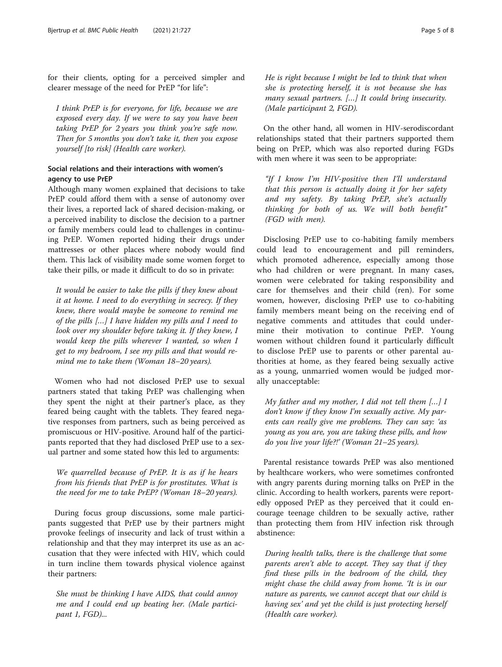for their clients, opting for a perceived simpler and clearer message of the need for PrEP "for life":

I think PrEP is for everyone, for life, because we are exposed every day. If we were to say you have been taking PrEP for 2 years you think you're safe now. Then for 5 months you don't take it, then you expose yourself [to risk] (Health care worker).

# Social relations and their interactions with women's agency to use PrEP

Although many women explained that decisions to take PrEP could afford them with a sense of autonomy over their lives, a reported lack of shared decision-making, or a perceived inability to disclose the decision to a partner or family members could lead to challenges in continuing PrEP. Women reported hiding their drugs under mattresses or other places where nobody would find them. This lack of visibility made some women forget to take their pills, or made it difficult to do so in private:

It would be easier to take the pills if they knew about it at home. I need to do everything in secrecy. If they knew, there would maybe be someone to remind me of the pills […] I have hidden my pills and I need to look over my shoulder before taking it. If they knew, I would keep the pills wherever I wanted, so when I get to my bedroom, I see my pills and that would remind me to take them (Woman 18–20 years).

Women who had not disclosed PrEP use to sexual partners stated that taking PrEP was challenging when they spent the night at their partner's place, as they feared being caught with the tablets. They feared negative responses from partners, such as being perceived as promiscuous or HIV-positive. Around half of the participants reported that they had disclosed PrEP use to a sexual partner and some stated how this led to arguments:

We quarrelled because of PrEP. It is as if he hears from his friends that PrEP is for prostitutes. What is the need for me to take PrEP? (Woman 18–20 years).

During focus group discussions, some male participants suggested that PrEP use by their partners might provoke feelings of insecurity and lack of trust within a relationship and that they may interpret its use as an accusation that they were infected with HIV, which could in turn incline them towards physical violence against their partners:

She must be thinking I have AIDS, that could annoy me and I could end up beating her. (Male participant 1, FGD)...

He is right because I might be led to think that when she is protecting herself, it is not because she has many sexual partners. […] It could bring insecurity. (Male participant 2, FGD).

On the other hand, all women in HIV-serodiscordant relationships stated that their partners supported them being on PrEP, which was also reported during FGDs with men where it was seen to be appropriate:

"If I know I'm HIV-positive then I'll understand that this person is actually doing it for her safety and my safety. By taking PrEP, she's actually thinking for both of us. We will both benefit" (FGD with men).

Disclosing PrEP use to co-habiting family members could lead to encouragement and pill reminders, which promoted adherence, especially among those who had children or were pregnant. In many cases, women were celebrated for taking responsibility and care for themselves and their child (ren). For some women, however, disclosing PrEP use to co-habiting family members meant being on the receiving end of negative comments and attitudes that could undermine their motivation to continue PrEP. Young women without children found it particularly difficult to disclose PrEP use to parents or other parental authorities at home, as they feared being sexually active as a young, unmarried women would be judged morally unacceptable:

My father and my mother, I did not tell them  $[...]$  I don't know if they know I'm sexually active. My parents can really give me problems. They can say: 'as young as you are, you are taking these pills, and how do you live your life?!' (Woman 21–25 years).

Parental resistance towards PrEP was also mentioned by healthcare workers, who were sometimes confronted with angry parents during morning talks on PrEP in the clinic. According to health workers, parents were reportedly opposed PrEP as they perceived that it could encourage teenage children to be sexually active, rather than protecting them from HIV infection risk through abstinence:

During health talks, there is the challenge that some parents aren't able to accept. They say that if they find these pills in the bedroom of the child, they might chase the child away from home. 'It is in our nature as parents, we cannot accept that our child is having sex' and yet the child is just protecting herself (Health care worker).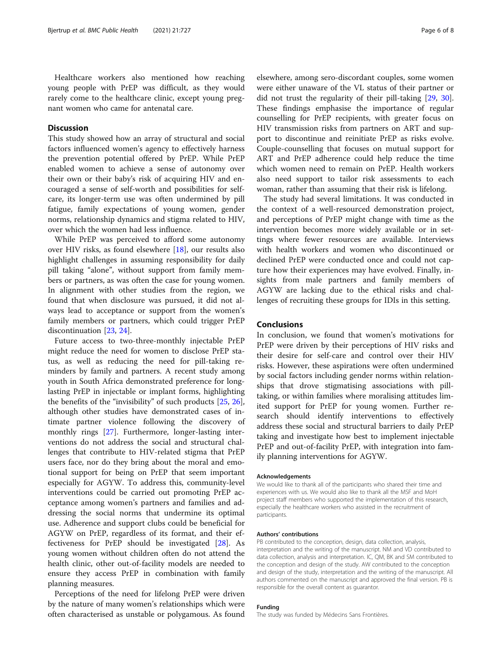Healthcare workers also mentioned how reaching young people with PrEP was difficult, as they would rarely come to the healthcare clinic, except young pregnant women who came for antenatal care.

# **Discussion**

This study showed how an array of structural and social factors influenced women's agency to effectively harness the prevention potential offered by PrEP. While PrEP enabled women to achieve a sense of autonomy over their own or their baby's risk of acquiring HIV and encouraged a sense of self-worth and possibilities for selfcare, its longer-term use was often undermined by pill fatigue, family expectations of young women, gender norms, relationship dynamics and stigma related to HIV, over which the women had less influence.

While PrEP was perceived to afford some autonomy over HIV risks, as found elsewhere [\[18](#page-6-0)], our results also highlight challenges in assuming responsibility for daily pill taking "alone", without support from family members or partners, as was often the case for young women. In alignment with other studies from the region, we found that when disclosure was pursued, it did not always lead to acceptance or support from the women's family members or partners, which could trigger PrEP discontinuation [\[23](#page-6-0), [24](#page-6-0)].

Future access to two-three-monthly injectable PrEP might reduce the need for women to disclose PrEP status, as well as reducing the need for pill-taking reminders by family and partners. A recent study among youth in South Africa demonstrated preference for longlasting PrEP in injectable or implant forms, highlighting the benefits of the "invisibility" of such products [[25](#page-6-0), [26](#page-6-0)], although other studies have demonstrated cases of intimate partner violence following the discovery of monthly rings [\[27](#page-7-0)]. Furthermore, longer-lasting interventions do not address the social and structural challenges that contribute to HIV-related stigma that PrEP users face, nor do they bring about the moral and emotional support for being on PrEP that seem important especially for AGYW. To address this, community-level interventions could be carried out promoting PrEP acceptance among women's partners and families and addressing the social norms that undermine its optimal use. Adherence and support clubs could be beneficial for AGYW on PrEP, regardless of its format, and their effectiveness for PrEP should be investigated [\[28](#page-7-0)]. As young women without children often do not attend the health clinic, other out-of-facility models are needed to ensure they access PrEP in combination with family planning measures.

Perceptions of the need for lifelong PrEP were driven by the nature of many women's relationships which were often characterised as unstable or polygamous. As found

elsewhere, among sero-discordant couples, some women were either unaware of the VL status of their partner or did not trust the regularity of their pill-taking [\[29](#page-7-0), [30](#page-7-0)]. These findings emphasise the importance of regular counselling for PrEP recipients, with greater focus on HIV transmission risks from partners on ART and support to discontinue and reinitiate PrEP as risks evolve. Couple-counselling that focuses on mutual support for ART and PrEP adherence could help reduce the time which women need to remain on PrEP. Health workers also need support to tailor risk assessments to each woman, rather than assuming that their risk is lifelong.

The study had several limitations. It was conducted in the context of a well-resourced demonstration project, and perceptions of PrEP might change with time as the intervention becomes more widely available or in settings where fewer resources are available. Interviews with health workers and women who discontinued or declined PrEP were conducted once and could not capture how their experiences may have evolved. Finally, insights from male partners and family members of AGYW are lacking due to the ethical risks and challenges of recruiting these groups for IDIs in this setting.

# Conclusions

In conclusion, we found that women's motivations for PrEP were driven by their perceptions of HIV risks and their desire for self-care and control over their HIV risks. However, these aspirations were often undermined by social factors including gender norms within relationships that drove stigmatising associations with pilltaking, or within families where moralising attitudes limited support for PrEP for young women. Further research should identify interventions to effectively address these social and structural barriers to daily PrEP taking and investigate how best to implement injectable PrEP and out-of-facility PrEP, with integration into family planning interventions for AGYW.

#### Acknowledgements

We would like to thank all of the participants who shared their time and experiences with us. We would also like to thank all the MSF and MoH project staff members who supported the implementation of this research, especially the healthcare workers who assisted in the recruitment of participants.

#### Authors' contributions

PB contributed to the conception, design, data collection, analysis, interpretation and the writing of the manuscript. NM and VD contributed to data collection, analysis and interpretation. IC, QM, BK and SM contributed to the conception and design of the study. AW contributed to the conception and design of the study, interpretation and the writing of the manuscript. All authors commented on the manuscript and approved the final version. PB is responsible for the overall content as guarantor.

### Funding

The study was funded by Médecins Sans Frontières.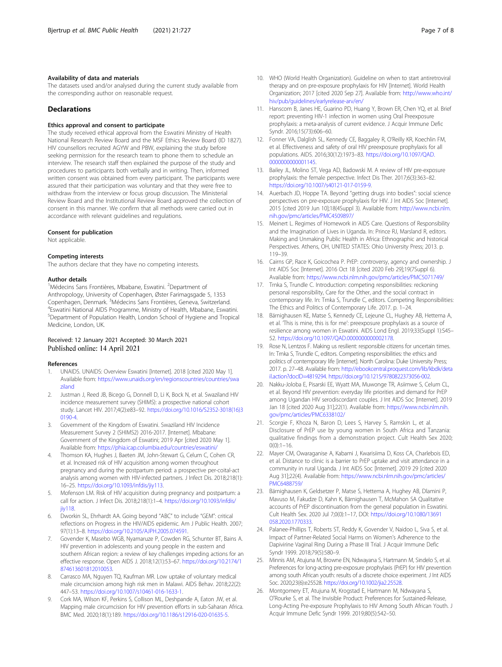# <span id="page-6-0"></span>Availability of data and materials

The datasets used and/or analysed during the current study available from the corresponding author on reasonable request.

# Declarations

# Ethics approval and consent to participate

The study received ethical approval from the Eswatini Ministry of Health National Research Review Board and the MSF Ethics Review Board (ID 1827). HIV counsellors recruited AGYW and PBW, explaining the study before seeking permission for the research team to phone them to schedule an interview. The research staff then explained the purpose of the study and procedures to participants both verbally and in writing. Then, informed written consent was obtained from every participant. The participants were assured that their participation was voluntary and that they were free to withdraw from the interview or focus group discussion. The Ministerial Review Board and the Institutional Review Board approved the collection of consent in this manner. We confirm that all methods were carried out in accordance with relevant guidelines and regulations.

#### Consent for publication

Not applicable.

#### Competing interests

The authors declare that they have no competing interests.

#### Author details

<sup>1</sup>Médecins Sans Frontières, Mbabane, Eswatini. <sup>2</sup>Department of Anthropology, University of Copenhagen, Øster Farimagsgade 5, 1353 Copenhagen, Denmark. <sup>3</sup>Médecins Sans Frontières, Geneva, Switzerland.<br><sup>4</sup>Envatini National AIDS Programmo Ministry of Hoalth Mbabano, Envat Eswatini National AIDS Programme, Ministry of Health, Mbabane, Eswatini. 5 Department of Population Health, London School of Hygiene and Tropical Medicine, London, UK.

# Received: 12 January 2021 Accepted: 30 March 2021 Published online: 14 April 2021

#### References

- 1. UNAIDS. UNAIDS: Overview Eswatini [Internet]. 2018 [cited 2020 May 1]. Available from: [https://www.unaids.org/en/regionscountries/countries/swa](https://www.unaids.org/en/regionscountries/countries/swaziland) [ziland](https://www.unaids.org/en/regionscountries/countries/swaziland)
- 2. Justman J, Reed JB, Bicego G, Donnell D, Li K, Bock N, et al. Swaziland HIV incidence measurement survey (SHIMS): a prospective national cohort study. Lancet HIV. 2017;4(2):e83–92. [https://doi.org/10.1016/S2352-3018\(16\)3](https://doi.org/10.1016/S2352-3018(16)30190-4) [0190-4.](https://doi.org/10.1016/S2352-3018(16)30190-4)
- 3. Government of the Kingdom of Eswatini. Swaziland HIV Incidence Measurement Survey 2 (SHIMS2) 2016-2017. [Internet]. Mbabane: Government of the Kingdom of Eswatini; 2019 Apr [cited 2020 May 1]. Available from: <https://phia.icap.columbia.edu/countries/eswatini/>
- 4. Thomson KA, Hughes J, Baeten JM, John-Stewart G, Celum C, Cohen CR, et al. Increased risk of HIV acquisition among women throughout pregnancy and during the postpartum period: a prospective per-coital-act analysis among women with HIV-infected partners. J Infect Dis. 2018;218(1): 16–25. <https://doi.org/10.1093/infdis/jiy113>.
- 5. Mofenson LM. Risk of HIV acquisition during pregnancy and postpartum: a call for action. J Infect Dis. 2018;218(1):1–4. [https://doi.org/10.1093/infdis/](https://doi.org/10.1093/infdis/jiy118) [jiy118.](https://doi.org/10.1093/infdis/jiy118)
- 6. Dworkin SL, Ehrhardt AA. Going beyond "ABC" to include "GEM": critical reflections on Progress in the HIV/AIDS epidemic. Am J Public Health. 2007; 97(1):13–8. <https://doi.org/10.2105/AJPH.2005.074591>.
- 7. Govender K, Masebo WGB, Nyamaruze P, Cowden RG, Schunter BT, Bains A. HIV prevention in adolescents and young people in the eastern and southern African region: a review of key challenges impeding actions for an effective response. Open AIDS J. 2018;12(1):53–67. [https://doi.org/10.2174/1](https://doi.org/10.2174/1874613601812010053) [874613601812010053](https://doi.org/10.2174/1874613601812010053).
- Carrasco MA, Nguyen TQ, Kaufman MR. Low uptake of voluntary medical male circumcision among high risk men in Malawi. AIDS Behav. 2018;22(2): 447–53. <https://doi.org/10.1007/s10461-016-1633-1>.
- 9. Cork MA, Wilson KF, Perkins S, Collison ML, Deshpande A, Eaton JW, et al. Mapping male circumcision for HIV prevention efforts in sub-Saharan Africa. BMC Med. 2020;18(1):189. <https://doi.org/10.1186/s12916-020-01635-5>.
- 10. WHO (World Health Organization). Guideline on when to start antiretroviral therapy and on pre-exposure prophylaxis for HIV [Internet]. World Health Organization; 2017 [cited 2020 Sep 27]. Available from: [http://www.who.int/](http://www.who.int/hiv/pub/guidelines/earlyrelease-arv/en/) [hiv/pub/guidelines/earlyrelease-arv/en/](http://www.who.int/hiv/pub/guidelines/earlyrelease-arv/en/)
- 11. Hanscom B, Janes HE, Guarino PD, Huang Y, Brown ER, Chen YQ, et al. Brief report: preventing HIV-1 infection in women using Oral Preexposure prophylaxis: a meta-analysis of current evidence. J Acquir Immune Defic Syndr. 2016;15(73):606–60.
- 12. Fonner VA, Dalglish SL, Kennedy CE, Baggaley R, O'Reilly KR, Koechlin FM, et al. Effectiveness and safety of oral HIV preexposure prophylaxis for all populations. AIDS. 2016;30(12):1973–83. [https://doi.org/10.1097/QAD.](https://doi.org/10.1097/QAD.0000000000001145) [0000000000001145](https://doi.org/10.1097/QAD.0000000000001145)
- 13. Bailey JL, Molino ST, Vega AD, Badowski M. A review of HIV pre-exposure prophylaxis: the female perspective. Infect Dis Ther. 2017;6(3):363–82. <https://doi.org/10.1007/s40121-017-0159-9>.
- 14. Auerbach JD, Hoppe TA. Beyond "getting drugs into bodies": social science perspectives on pre-exposure prophylaxis for HIV. J Int AIDS Soc [Internet]. 2015 [cited 2019 Jun 10];18(4Suppl 3). Available from: [http://www.ncbi.nlm.](http://www.ncbi.nlm.nih.gov/pmc/articles/PMC4509897/) [nih.gov/pmc/articles/PMC4509897/](http://www.ncbi.nlm.nih.gov/pmc/articles/PMC4509897/)
- 15. Meinert L. Regimes of Homework in AIDS Care. Questions of Responsibility and the Imagination of Lives in Uganda. In: Prince RJ, Marsland R, editors. Making and Unmaking Public Health in Africa: Ethnographic and historical Perspectives. Athens, OH, UNITED STATES: Ohio University Press; 2013. p. 119–39.
- 16. Cairns GP, Race K, Goicochea P. PrEP: controversy, agency and ownership. J Int AIDS Soc [Internet]. 2016 Oct 18 [cited 2020 Feb 29];19(7Suppl 6). Available from: <https://www.ncbi.nlm.nih.gov/pmc/articles/PMC5071749/>
- 17. Trnka S, Trundle C. Introduction: competing responsibilities: reckoning personal responsibility, Care for the Other, and the social contract in contemporary life. In: Trnka S, Trundle C, editors. Competing Responsibilities: The Ethics and Politics of Contemporary Life. 2017. p. 1–24.
- 18. Bärnighausen KE, Matse S, Kennedy CE, Lejeune CL, Hughey AB, Hettema A, et al. 'This is mine, this is for me': preexposure prophylaxis as a source of resilience among women in Eswatini. AIDS Lond Engl. 2019;33(Suppl 1):S45– 52. <https://doi.org/10.1097/QAD.0000000000002178>.
- 19. Rose N, Lentzos F. Making us resilient: responsible citizens for uncertain times. In: Trnka S, Trundle C, editors. Competing responsibilities: the ethics and politics of contemporary life [internet]. North Carolina: Duke University Press; 2017. p. 27–48. Available from: [http://ebookcentral.proquest.com/lib/kbdk/deta](http://ebookcentral.proquest.com/lib/kbdk/detail.action?docID=4819294) [il.action?docID=4819294.](http://ebookcentral.proquest.com/lib/kbdk/detail.action?docID=4819294) <https://doi.org/10.1215/9780822373056-002>.
- 20. Nakku-Joloba E, Pisarski EE, Wyatt MA, Muwonge TR, Asiimwe S, Celum CL, et al. Beyond HIV prevention: everyday life priorities and demand for PrEP among Ugandan HIV serodiscordant couples. J Int AIDS Soc [Internet]. 2019 Jan 18 [cited 2020 Aug 31];22(1). Available from: [https://www.ncbi.nlm.nih.](https://www.ncbi.nlm.nih.gov/pmc/articles/PMC6338102/) [gov/pmc/articles/PMC6338102/](https://www.ncbi.nlm.nih.gov/pmc/articles/PMC6338102/)
- 21. Scorgie F, Khoza N, Baron D, Lees S, Harvey S, Ramskin L, et al. Disclosure of PrEP use by young women in South Africa and Tanzania: qualitative findings from a demonstration project. Cult Health Sex 2020;  $O(0) \cdot 1 - 16$
- 22. Mayer CM, Owaraganise A, Kabami J, Kwarisiima D, Koss CA, Charlebois ED, et al. Distance to clinic is a barrier to PrEP uptake and visit attendance in a community in rural Uganda. J Int AIDS Soc [Internet]. 2019 29 [cited 2020 Aug 31];22(4). Available from: [https://www.ncbi.nlm.nih.gov/pmc/articles/](https://www.ncbi.nlm.nih.gov/pmc/articles/PMC6488759/) [PMC6488759/](https://www.ncbi.nlm.nih.gov/pmc/articles/PMC6488759/)
- 23. Bärnighausen K, Geldsetzer P, Matse S, Hettema A, Hughey AB, Dlamini P, Mavuso M, Fakudze D, Kahn K, Bärnighausen T, McMahon SA Qualitative accounts of PrEP discontinuation from the general population in Eswatini. Cult Health Sex. 2020 Jul 7;0(0):1–17, DOI: [https://doi.org/10.1080/13691](https://doi.org/10.1080/13691058.2020.1770333) [058.2020.1770333.](https://doi.org/10.1080/13691058.2020.1770333)
- 24. Palanee-Phillips T, Roberts ST, Reddy K, Govender V, Naidoo L, Siva S, et al. Impact of Partner-Related Social Harms on Women's Adherence to the Dapivirine Vaginal Ring During a Phase III Trial. J Acquir Immune Defic Syndr 1999. 2018;79(5):580–9.
- 25. Minnis AM, Atujuna M, Browne EN, Ndwayana S, Hartmann M, Sindelo S, et al. Preferences for long-acting pre-exposure prophylaxis (PrEP) for HIV prevention among south African youth: results of a discrete choice experiment. J Int AIDS Soc. 2020;23(6):e25528. [https://doi.org/10.1002/jia2.25528.](https://doi.org/10.1002/jia2.25528)
- 26. Montgomery ET, Atujuna M, Krogstad E, Hartmann M, Ndwayana S, O'Rourke S, et al. The Invisible Product: Preferences for Sustained-Release, Long-Acting Pre-exposure Prophylaxis to HIV Among South African Youth. J Acquir Immune Defic Syndr 1999. 2019;80(5):542–50.